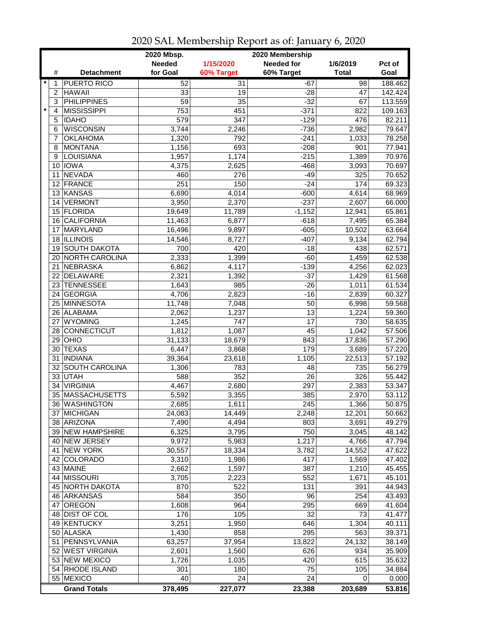|                |                               | 2020 Mbsp.      |                  | 2020 Membership   |                    |                  |
|----------------|-------------------------------|-----------------|------------------|-------------------|--------------------|------------------|
|                |                               | <b>Needed</b>   | 1/15/2020        | <b>Needed for</b> | 1/6/2019           | Pct of           |
| #              | <b>Detachment</b>             | for Goal        | 60% Target       | 60% Target        | <b>Total</b>       | Goal             |
| $\star$<br>1   | <b>PUERTO RICO</b>            | 52              | $\overline{31}$  | $-67$             | 98                 | 188.462          |
| $\overline{c}$ | <b>HAWAII</b>                 | 33              | 19               | $-28$             | 47                 | 142.424          |
| 3              | <b>PHILIPPINES</b>            | $\overline{59}$ | 35               | $-32$             | 67                 | 113.559          |
| $\star$<br>4   | <b>MISSISSIPPI</b>            | 753             | 451              | $-371$            | 822                | 109.163          |
| 5              | <b>IDAHO</b>                  | 579             | $\overline{347}$ | $-129$            | 476                | 82.211           |
| 6              | <b>WISCONSIN</b>              | 3,744           | 2,246            | $-736$            | 2,982              | 79.647           |
| 7              | <b>OKLAHOMA</b>               | 1,320           | 792              | $-241$            | 1,033              | 78.258           |
| 8              | <b>MONTANA</b>                | 1,156           | 693              | $-208$            | 901                | 77.941           |
| 9              | LOUISIANA                     | 1,957           | 1,174            | $-215$            | 1,389              | 70.976           |
| 10             | <b>IOWA</b>                   | 4,375           | 2,625            | $-468$            | 3,093              | 70.697           |
| 11             | <b>NEVADA</b>                 | 460             | 276              | $-49$             | 325                | 70.652           |
| 12             | FRANCE                        | 251             | 150              | $-24$             | 174                | 69.323           |
| 13             | KANSAS                        | 6,690           | 4,014            | $-600$            | 4,614              | 68.969           |
| 14             | <b>VERMONT</b>                | 3,950           | 2,370            | $-237$            | 2,607              | 66.000           |
|                | 15 FLORIDA                    |                 | 11,789           | $-1,152$          | 12,941             | 65.861           |
|                |                               | 19,649          |                  |                   |                    |                  |
| 16<br>17       | <b>CALIFORNIA</b><br>MARYLAND | 11,463          | 6,877            | $-618$            | 7,495              | 65.384           |
| 18             | <b>ILLINOIS</b>               | 16,496          | 9,897            | $-605$<br>$-407$  | 10,502             | 63.664<br>62.794 |
|                | <b>SOUTH DAKOTA</b>           | 14,546          | 8,727            |                   | 9,134              |                  |
| 19             |                               | 700             | 420              | $-18$             | 438                | 62.571           |
| 20             | <b>NORTH CAROLINA</b>         | 2,333           | 1,399            | $-60$             | $\overline{1,}459$ | 62.538           |
| 21             | <b>NEBRASKA</b>               | 6,862           | 4,117            | $-139$            | 4,256              | 62.023           |
|                | 22 DELAWARE                   | 2,321           | 1,392            | $-37$             | 1,429              | 61.568           |
|                | 23 TENNESSEE                  | 1,643           | 985              | $-26$             | 1,011              | 61.534           |
| 24             | GEORGIA                       | 4,706           | 2,823            | $-16$             | 2,839              | 60.327           |
|                | 25 MINNESOTA                  | 11,748          | 7,048            | 50                | 6,998              | 59.568           |
|                | 26 ALABAMA                    | 2,062           | 1,237            | $\overline{13}$   | 1,224              | 59.360           |
| 27             | <b>WYOMING</b>                | 1,245           | 747              | 17                | 730                | 58.635           |
| 28             | <b>CONNECTICUT</b>            | 1,812           | 1,087            | 45                | 1,042              | 57.506           |
| 29             | OHIO                          | 31,133          | 18,679           | 843               | 17,836             | 57.290           |
| 30             | <b>TEXAS</b>                  | 6,447           | 3,868            | 179               | 3,689              | 57.220           |
| 31             | <b>INDIANA</b>                | 39,364          | 23,618           | 1,105             | 22,513             | 57.192           |
| 32             | <b>SOUTH CAROLINA</b>         | 1,306           | 783              | 48                | 735                | 56.279           |
|                | 33 UTAH                       | 588             | 352              | 26                | 326                | 55.442           |
| 34             | <b>VIRGINIA</b>               | 4,467           | 2,680            | 297               | 2,383              | 53.347           |
|                | 35 MASSACHUSETTS              | 5,592           | 3,355            | 385               | 2,970              | 53.112           |
|                | 36 WASHINGTON                 | 2,685           | 1,611            | 245               | 1,366              | 50.875           |
|                | 37 MICHIGAN                   | 24,083          | 14,449           | 2,248             | 12,201             | 50.662           |
|                | 38 ARIZONA                    | 7,490           | 4,494            | 803               | 3,691              | 49.279           |
|                | 39 NEW HAMPSHIRE              | 6,325           | 3,795            | 750               | 3,045              | 48.142           |
|                | 40 NEW JERSEY                 | 9,972           | 5,983            | 1,217             | 4,766              | 47.794           |
|                | 41 NEW YORK                   | 30,557          | 18,334           | 3,782             | 14,552             | 47.622           |
|                | 42 COLORADO                   | 3,310           | 1,986            | 417               | 1,569              | 47.402           |
|                | 43 MAINE                      | 2,662           | 1,597            | 387               | 1,210              | 45.455           |
|                | 44 MISSOURI                   | 3,705           | 2,223            | 552               | 1,671              | 45.101           |
|                | 45 NORTH DAKOTA               | 870             | 522              | 131               | 391                | 44.943           |
|                | 46 ARKANSAS                   | 584             | 350              | 96                | 254                | 43.493           |
| 47             | OREGON                        | 1,608           | 964              | 295               | 669                | 41.604           |
|                | 48 DIST OF COL                | 176             | 105              | 32                | 73                 | 41.477           |
|                | 49 KENTUCKY                   | 3,251           | 1,950            | 646               | 1,304              | 40.111           |
|                | 50 ALASKA                     | 1,430           | 858              | 295               | 563                | 39.371           |
| 51             | PENNSYLVANIA                  | 63,257          | 37,954           | 13,822            | 24,132             | 38.149           |
|                | 52 WEST VIRGINIA              | 2,601           | 1,560            | 626               | 934                | 35.909           |
|                | 53 NEW MEXICO                 | 1,726           | 1,035            | 420               | 615                | 35.632           |
|                | 54 RHODE ISLAND               | 301             | 180              | 75                | 105                | 34.884           |
|                | 55 MEXICO                     | 40              | 24               | 24                | 0                  | 0.000            |
|                | <b>Grand Totals</b>           | 378,495         | 227,077          | 23,388            | 203,689            | 53.816           |

2020 SAL Membership Report as of: January 6, 2020